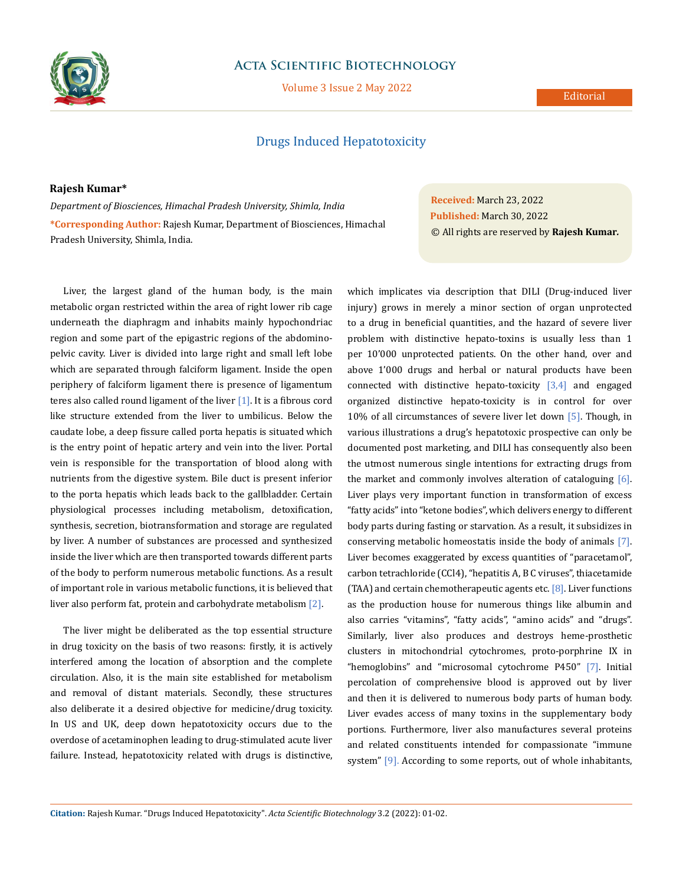

## **Acta Scientific Biotechnology**

Volume 3 Issue 2 May 2022

## Editorial

# Drugs Induced Hepatotoxicity

**Rajesh Kumar\***

*Department of Biosciences, Himachal Pradesh University, Shimla, India* **\*Corresponding Author:** Rajesh Kumar, Department of Biosciences, Himachal Pradesh University, Shimla, India.

Liver, the largest gland of the human body, is the main metabolic organ restricted within the area of right lower rib cage underneath the diaphragm and inhabits mainly hypochondriac region and some part of the epigastric regions of the abdominopelvic cavity. Liver is divided into large right and small left lobe which are separated through falciform ligament. Inside the open periphery of falciform ligament there is presence of ligamentum teres also called round ligament of the liver  $[1]$ . It is a fibrous cord like structure extended from the liver to umbilicus. Below the caudate lobe, a deep fissure called porta hepatis is situated which is the entry point of hepatic artery and vein into the liver. Portal vein is responsible for the transportation of blood along with nutrients from the digestive system. Bile duct is present inferior to the porta hepatis which leads back to the gallbladder. Certain physiological processes including metabolism, detoxification, synthesis, secretion, biotransformation and storage are regulated by liver. A number of substances are processed and synthesized inside the liver which are then transported towards different parts of the body to perform numerous metabolic functions. As a result of important role in various metabolic functions, it is believed that liver also perform fat, protein and carbohydrate metabolism [2].

The liver might be deliberated as the top essential structure in drug toxicity on the basis of two reasons: firstly, it is actively interfered among the location of absorption and the complete circulation. Also, it is the main site established for metabolism and removal of distant materials. Secondly, these structures also deliberate it a desired objective for medicine/drug toxicity. In US and UK, deep down hepatotoxicity occurs due to the overdose of acetaminophen leading to drug-stimulated acute liver failure. Instead, hepatotoxicity related with drugs is distinctive,

**Received:** March 23, 2022 **Published:** March 30, 2022 © All rights are reserved by **Rajesh Kumar***.*

which implicates via description that DILI (Drug-induced liver injury) grows in merely a minor section of organ unprotected to a drug in beneficial quantities, and the hazard of severe liver problem with distinctive hepato-toxins is usually less than 1 per 10'000 unprotected patients. On the other hand, over and above 1'000 drugs and herbal or natural products have been connected with distinctive hepato-toxicity  $[3,4]$  and engaged organized distinctive hepato-toxicity is in control for over 10% of all circumstances of severe liver let down [5]. Though, in various illustrations a drug's hepatotoxic prospective can only be documented post marketing, and DILI has consequently also been the utmost numerous single intentions for extracting drugs from the market and commonly involves alteration of cataloguing  $[6]$ . Liver plays very important function in transformation of excess "fatty acids" into "ketone bodies", which delivers energy to different body parts during fasting or starvation. As a result, it subsidizes in conserving metabolic homeostatis inside the body of animals [7]. Liver becomes exaggerated by excess quantities of "paracetamol", carbon tetrachloride (CCl4), "hepatitis A, B C viruses", thiacetamide (TAA) and certain chemotherapeutic agents etc. [8]. Liver functions as the production house for numerous things like albumin and also carries "vitamins", "fatty acids", "amino acids" and "drugs". Similarly, liver also produces and destroys heme-prosthetic clusters in mitochondrial cytochromes, proto-porphrine IX in "hemoglobins" and "microsomal cytochrome P450" [7]. Initial percolation of comprehensive blood is approved out by liver and then it is delivered to numerous body parts of human body. Liver evades access of many toxins in the supplementary body portions. Furthermore, liver also manufactures several proteins and related constituents intended for compassionate "immune system" [9]. According to some reports, out of whole inhabitants,